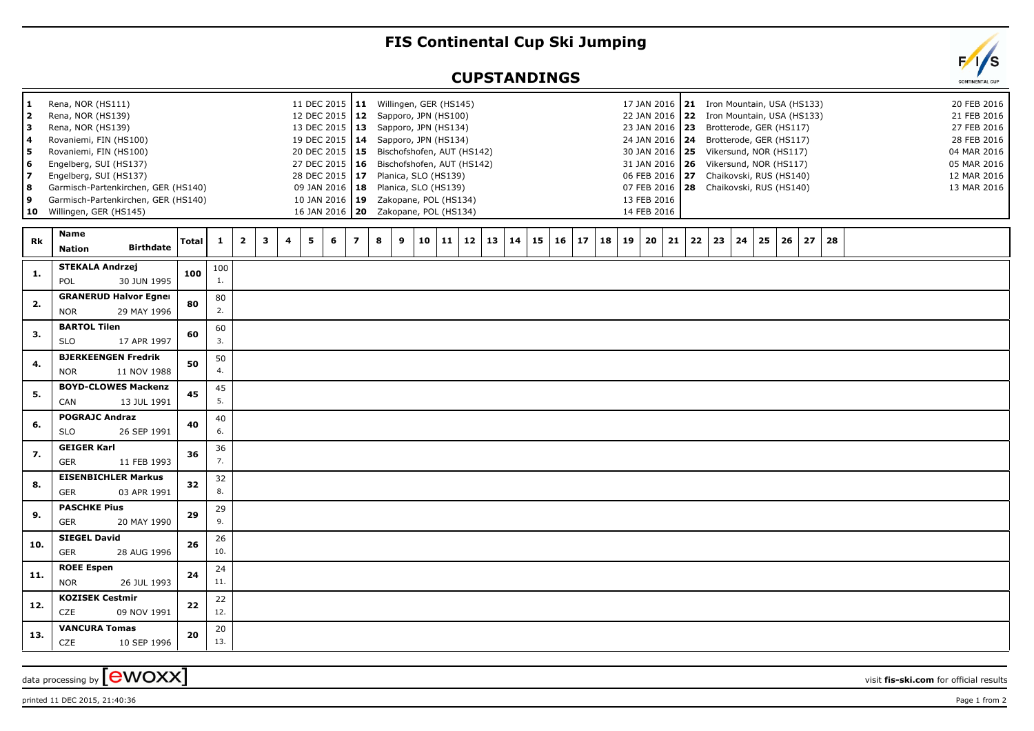## **FIS Continental Cup Ski Jumping**

## **CUPSTANDINGS**



 $\alpha$  data processing by  $\boxed{\text{ewOXX}}$ 

printed 11 DEC 2015, 21:40:36 Page 1 from 2